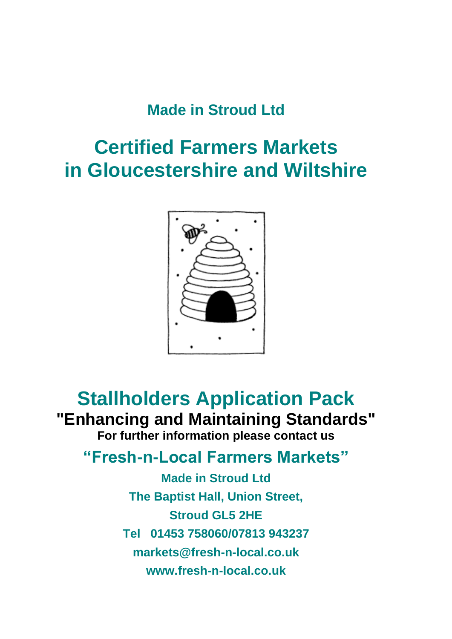## **Made in Stroud Ltd**

# **Certified Farmers Markets in Gloucestershire and Wiltshire**



## **Stallholders Application Pack "Enhancing and Maintaining Standards" For further information please contact us**

## **"Fresh-n-Local Farmers Markets"**

**Made in Stroud Ltd The Baptist Hall, Union Street, Stroud GL5 2HE Tel 01453 758060/07813 943237 markets@fresh-n-local.co.uk www.fresh-n-local.co.uk**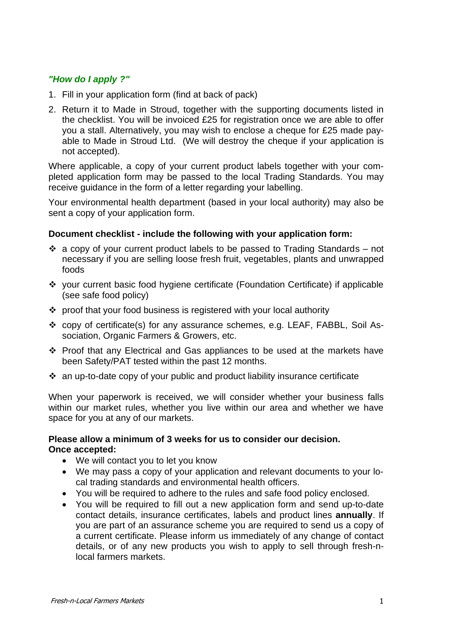#### *"How do I apply ?"*

- 1. Fill in your application form (find at back of pack)
- 2. Return it to Made in Stroud, together with the supporting documents listed in the checklist. You will be invoiced £25 for registration once we are able to offer you a stall. Alternatively, you may wish to enclose a cheque for £25 made payable to Made in Stroud Ltd. (We will destroy the cheque if your application is not accepted).

Where applicable, a copy of your current product labels together with your completed application form may be passed to the local Trading Standards. You may receive guidance in the form of a letter regarding your labelling.

Your environmental health department (based in your local authority) may also be sent a copy of your application form.

#### **Document checklist - include the following with your application form:**

- ❖ a copy of your current product labels to be passed to Trading Standards not necessary if you are selling loose fresh fruit, vegetables, plants and unwrapped foods
- ❖ your current basic food hygiene certificate (Foundation Certificate) if applicable (see safe food policy)
- ❖ proof that your food business is registered with your local authority
- ❖ copy of certificate(s) for any assurance schemes, e.g. LEAF, FABBL, Soil Association, Organic Farmers & Growers, etc.
- ❖ Proof that any Electrical and Gas appliances to be used at the markets have been Safety/PAT tested within the past 12 months.
- ❖ an up-to-date copy of your public and product liability insurance certificate

When your paperwork is received, we will consider whether your business falls within our market rules, whether you live within our area and whether we have space for you at any of our markets.

#### **Please allow a minimum of 3 weeks for us to consider our decision. Once accepted:**

- We will contact you to let you know
- We may pass a copy of your application and relevant documents to your local trading standards and environmental health officers.
- You will be required to adhere to the rules and safe food policy enclosed.
- You will be required to fill out a new application form and send up-to-date contact details, insurance certificates, labels and product lines **annually**. If you are part of an assurance scheme you are required to send us a copy of a current certificate. Please inform us immediately of any change of contact details, or of any new products you wish to apply to sell through fresh-nlocal farmers markets.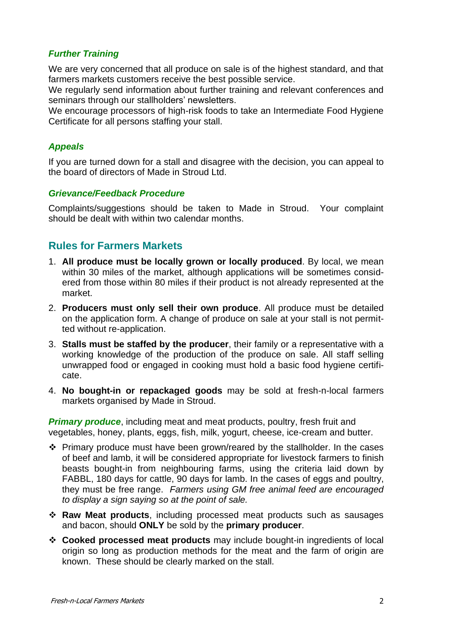#### *Further Training*

We are very concerned that all produce on sale is of the highest standard, and that farmers markets customers receive the best possible service.

We regularly send information about further training and relevant conferences and seminars through our stallholders' newsletters.

We encourage processors of high-risk foods to take an Intermediate Food Hygiene Certificate for all persons staffing your stall.

#### *Appeals*

If you are turned down for a stall and disagree with the decision, you can appeal to the board of directors of Made in Stroud Ltd.

#### *Grievance/Feedback Procedure*

Complaints/suggestions should be taken to Made in Stroud. Your complaint should be dealt with within two calendar months.

### **Rules for Farmers Markets**

- 1. **All produce must be locally grown or locally produced**. By local, we mean within 30 miles of the market, although applications will be sometimes considered from those within 80 miles if their product is not already represented at the market.
- 2. **Producers must only sell their own produce**. All produce must be detailed on the application form. A change of produce on sale at your stall is not permitted without re-application.
- 3. **Stalls must be staffed by the producer**, their family or a representative with a working knowledge of the production of the produce on sale. All staff selling unwrapped food or engaged in cooking must hold a basic food hygiene certificate.
- 4. **No bought-in or repackaged goods** may be sold at fresh-n-local farmers markets organised by Made in Stroud.

*Primary produce*, including meat and meat products, poultry, fresh fruit and vegetables, honey, plants, eggs, fish, milk, yogurt, cheese, ice-cream and butter.

- ❖ Primary produce must have been grown/reared by the stallholder. In the cases of beef and lamb, it will be considered appropriate for livestock farmers to finish beasts bought-in from neighbouring farms, using the criteria laid down by FABBL, 180 days for cattle, 90 days for lamb. In the cases of eggs and poultry, they must be free range. *Farmers using GM free animal feed are encouraged to display a sign saying so at the point of sale.*
- ❖ **Raw Meat products**, including processed meat products such as sausages and bacon, should **ONLY** be sold by the **primary producer**.
- ❖ **Cooked processed meat products** may include bought-in ingredients of local origin so long as production methods for the meat and the farm of origin are known. These should be clearly marked on the stall.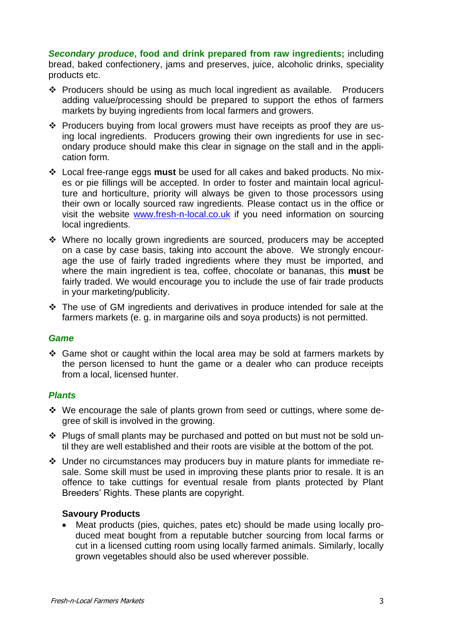*Secondary produce***, food and drink prepared from raw ingredients;** including bread, baked confectionery, jams and preserves, juice, alcoholic drinks, speciality products etc.

- ❖ Producers should be using as much local ingredient as available. Producers adding value/processing should be prepared to support the ethos of farmers markets by buying ingredients from local farmers and growers.
- ❖ Producers buying from local growers must have receipts as proof they are using local ingredients. Producers growing their own ingredients for use in secondary produce should make this clear in signage on the stall and in the application form.
- ❖ Local free-range eggs **must** be used for all cakes and baked products. No mixes or pie fillings will be accepted. In order to foster and maintain local agriculture and horticulture, priority will always be given to those processors using their own or locally sourced raw ingredients. Please contact us in the office or visit the website [www.fresh-n-local.co.uk](http://www.fresh-n-local.co.uk/) if you need information on sourcing local ingredients.
- ❖ Where no locally grown ingredients are sourced, producers may be accepted on a case by case basis, taking into account the above. We strongly encourage the use of fairly traded ingredients where they must be imported, and where the main ingredient is tea, coffee, chocolate or bananas, this **must** be fairly traded. We would encourage you to include the use of fair trade products in your marketing/publicity.
- ❖ The use of GM ingredients and derivatives in produce intended for sale at the farmers markets (e. g. in margarine oils and soya products) is not permitted.

#### *Game*

❖ Game shot or caught within the local area may be sold at farmers markets by the person licensed to hunt the game or a dealer who can produce receipts from a local, licensed hunter.

#### *Plants*

- ❖ We encourage the sale of plants grown from seed or cuttings, where some degree of skill is involved in the growing.
- ❖ Plugs of small plants may be purchased and potted on but must not be sold until they are well established and their roots are visible at the bottom of the pot.
- ❖ Under no circumstances may producers buy in mature plants for immediate resale. Some skill must be used in improving these plants prior to resale. It is an offence to take cuttings for eventual resale from plants protected by Plant Breeders' Rights. These plants are copyright.

#### **Savoury Products**

• Meat products (pies, quiches, pates etc) should be made using locally produced meat bought from a reputable butcher sourcing from local farms or cut in a licensed cutting room using locally farmed animals. Similarly, locally grown vegetables should also be used wherever possible.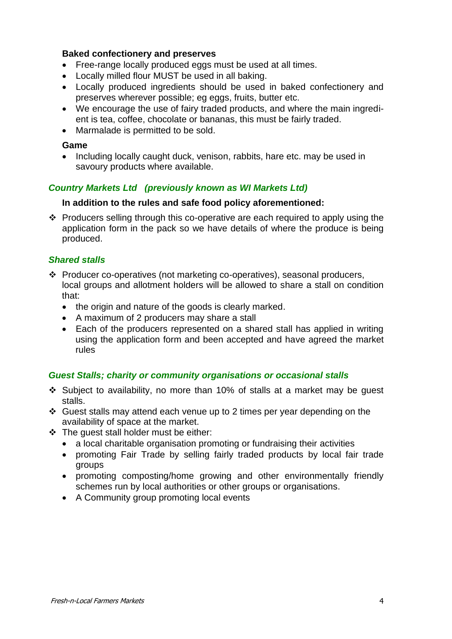#### **Baked confectionery and preserves**

- Free-range locally produced eggs must be used at all times.
- Locally milled flour MUST be used in all baking.
- Locally produced ingredients should be used in baked confectionery and preserves wherever possible; eg eggs, fruits, butter etc.
- We encourage the use of fairy traded products, and where the main ingredient is tea, coffee, chocolate or bananas, this must be fairly traded.
- Marmalade is permitted to be sold.

#### **Game**

• Including locally caught duck, venison, rabbits, hare etc, may be used in savoury products where available.

#### *Country Markets Ltd (previously known as WI Markets Ltd)*

#### **In addition to the rules and safe food policy aforementioned:**

❖ Producers selling through this co-operative are each required to apply using the application form in the pack so we have details of where the produce is being produced.

#### *Shared stalls*

- ❖ Producer co-operatives (not marketing co-operatives), seasonal producers, local groups and allotment holders will be allowed to share a stall on condition that:
	- the origin and nature of the goods is clearly marked.
	- A maximum of 2 producers may share a stall
	- Each of the producers represented on a shared stall has applied in writing using the application form and been accepted and have agreed the market rules

#### *Guest Stalls; charity or community organisations or occasional stalls*

- ❖ Subject to availability, no more than 10% of stalls at a market may be guest stalls.
- ❖ Guest stalls may attend each venue up to 2 times per year depending on the availability of space at the market.
- ❖ The guest stall holder must be either:
	- a local charitable organisation promoting or fundraising their activities
	- promoting Fair Trade by selling fairly traded products by local fair trade groups
	- promoting composting/home growing and other environmentally friendly schemes run by local authorities or other groups or organisations.
	- A Community group promoting local events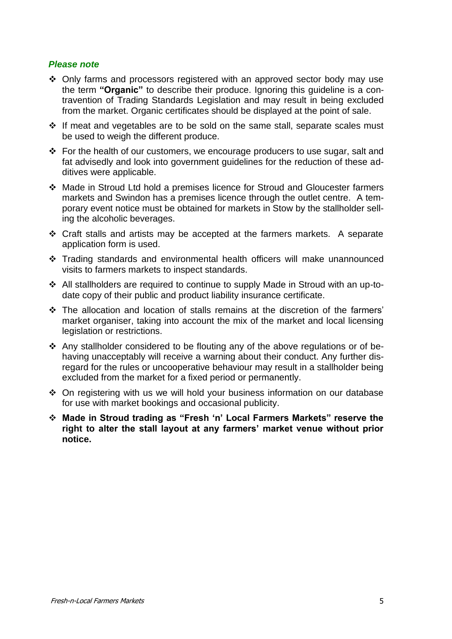#### *Please note*

- ❖ Only farms and processors registered with an approved sector body may use the term **"Organic"** to describe their produce. Ignoring this guideline is a contravention of Trading Standards Legislation and may result in being excluded from the market. Organic certificates should be displayed at the point of sale.
- ❖ If meat and vegetables are to be sold on the same stall, separate scales must be used to weigh the different produce.
- ❖ For the health of our customers, we encourage producers to use sugar, salt and fat advisedly and look into government guidelines for the reduction of these additives were applicable.
- ❖ Made in Stroud Ltd hold a premises licence for Stroud and Gloucester farmers markets and Swindon has a premises licence through the outlet centre. A temporary event notice must be obtained for markets in Stow by the stallholder selling the alcoholic beverages.
- ❖ Craft stalls and artists may be accepted at the farmers markets. A separate application form is used.
- ❖ Trading standards and environmental health officers will make unannounced visits to farmers markets to inspect standards.
- ❖ All stallholders are required to continue to supply Made in Stroud with an up-todate copy of their public and product liability insurance certificate.
- ❖ The allocation and location of stalls remains at the discretion of the farmers' market organiser, taking into account the mix of the market and local licensing legislation or restrictions.
- ❖ Any stallholder considered to be flouting any of the above regulations or of behaving unacceptably will receive a warning about their conduct. Any further disregard for the rules or uncooperative behaviour may result in a stallholder being excluded from the market for a fixed period or permanently.
- ❖ On registering with us we will hold your business information on our database for use with market bookings and occasional publicity.
- ❖ **Made in Stroud trading as "Fresh 'n' Local Farmers Markets" reserve the right to alter the stall layout at any farmers' market venue without prior notice.**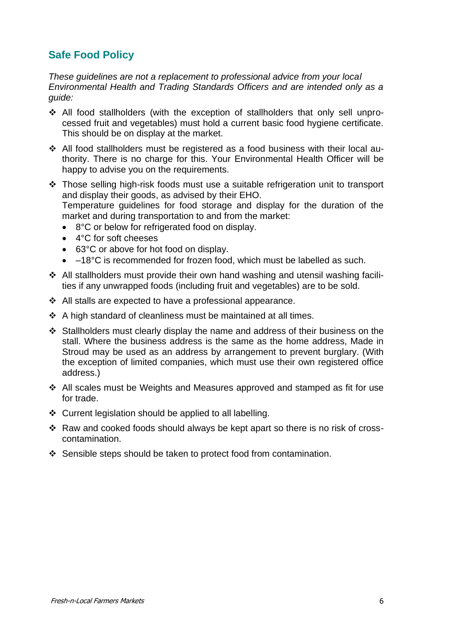## **Safe Food Policy**

*These guidelines are not a replacement to professional advice from your local Environmental Health and Trading Standards Officers and are intended only as a guide:*

- ❖ All food stallholders (with the exception of stallholders that only sell unprocessed fruit and vegetables) must hold a current basic food hygiene certificate. This should be on display at the market.
- ❖ All food stallholders must be registered as a food business with their local authority. There is no charge for this. Your Environmental Health Officer will be happy to advise you on the requirements.
- ❖ Those selling high-risk foods must use a suitable refrigeration unit to transport and display their goods, as advised by their EHO. Temperature guidelines for food storage and display for the duration of the market and during transportation to and from the market:
	- 8°C or below for refrigerated food on display.
	- 4°C for soft cheeses
	- 63°C or above for hot food on display.
	- –18°C is recommended for frozen food, which must be labelled as such.
- ❖ All stallholders must provide their own hand washing and utensil washing facilities if any unwrapped foods (including fruit and vegetables) are to be sold.
- ❖ All stalls are expected to have a professional appearance.
- ❖ A high standard of cleanliness must be maintained at all times.
- ❖ Stallholders must clearly display the name and address of their business on the stall. Where the business address is the same as the home address, Made in Stroud may be used as an address by arrangement to prevent burglary. (With the exception of limited companies, which must use their own registered office address.)
- ❖ All scales must be Weights and Measures approved and stamped as fit for use for trade.
- ❖ Current legislation should be applied to all labelling.
- ❖ Raw and cooked foods should always be kept apart so there is no risk of crosscontamination.
- ❖ Sensible steps should be taken to protect food from contamination.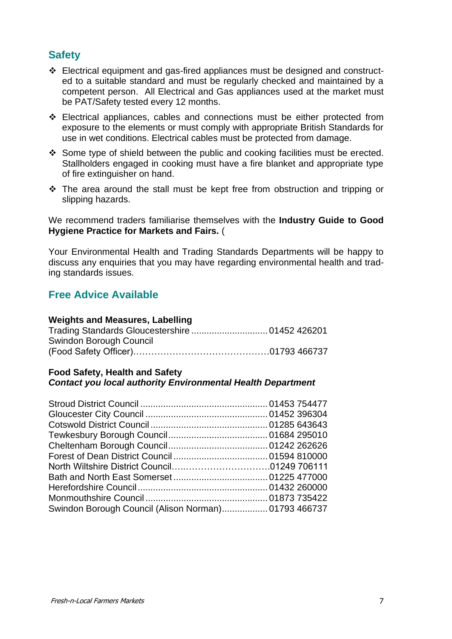### **Safety**

- ❖ Electrical equipment and gas-fired appliances must be designed and constructed to a suitable standard and must be regularly checked and maintained by a competent person. All Electrical and Gas appliances used at the market must be PAT/Safety tested every 12 months.
- ❖ Electrical appliances, cables and connections must be either protected from exposure to the elements or must comply with appropriate British Standards for use in wet conditions. Electrical cables must be protected from damage.
- ❖ Some type of shield between the public and cooking facilities must be erected. Stallholders engaged in cooking must have a fire blanket and appropriate type of fire extinguisher on hand.
- ❖ The area around the stall must be kept free from obstruction and tripping or slipping hazards.

We recommend traders familiarise themselves with the **Industry Guide to Good Hygiene Practice for Markets and Fairs.** (

Your Environmental Health and Trading Standards Departments will be happy to discuss any enquiries that you may have regarding environmental health and trading standards issues.

### **Free Advice Available**

#### **Weights and Measures, Labelling**

| Swindon Borough Council |  |
|-------------------------|--|
|                         |  |

#### **Food Safety, Health and Safety** *Contact you local authority Environmental Health Department*

| Swindon Borough Council (Alison Norman) 01793 466737 |  |
|------------------------------------------------------|--|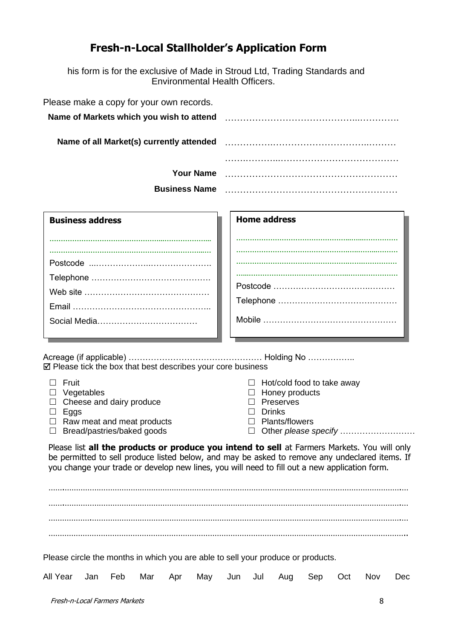## **Fresh-n-Local Stallholder's Application Form**

his form is for the exclusive of Made in Stroud Ltd, Trading Standards and Environmental Health Officers.

| Please make a copy for your own records. |  |
|------------------------------------------|--|
| Name of Markets which you wish to attend |  |
| Name of all Market(s) currently attended |  |
|                                          |  |
| <b>Your Name</b>                         |  |
| <b>Business Name</b>                     |  |

| <b>Business address</b> |
|-------------------------|
|                         |
|                         |
|                         |
|                         |
|                         |
|                         |
|                         |
|                         |

## **Home address …………………………………………...…...…………… ………………………………………….…..……...……… ………………………………………….…….…………… …...……………………………………..…….……………** Postcode ……………………………..……… Telephone …………………………….……… Mobile …………………………………………

Acreage (if applicable) ………………………………………… Holding No ……………..  $\boxtimes$  Please tick the box that best describes your core business

| Fruit<br>Vegetables<br>Cheese and dairy produce<br>Eggs<br>Raw meat and meat products<br>Bread/pastries/baked goods<br>$\Box$                                                                                                                                                                          | Hot/cold food to take away<br>$\perp$<br>Honey products<br>Preserves<br><b>Drinks</b><br><b>Plants/flowers</b> |  |  |  |
|--------------------------------------------------------------------------------------------------------------------------------------------------------------------------------------------------------------------------------------------------------------------------------------------------------|----------------------------------------------------------------------------------------------------------------|--|--|--|
| Please list <b>all the products or produce you intend to sell</b> at Farmers Markets. You will only<br>be permitted to sell produce listed below, and may be asked to remove any undeclared items. If<br>you change your trade or develop new lines, you will need to fill out a new application form. |                                                                                                                |  |  |  |
|                                                                                                                                                                                                                                                                                                        |                                                                                                                |  |  |  |
| Please circle the months in which you are able to sell your produce or products.<br>All Year<br>Feb<br>Jan<br>Mar<br>May<br>Apr<br>Jun                                                                                                                                                                 | Nov<br>Jul<br>Sep<br>Dec<br>Aug<br>Oct                                                                         |  |  |  |